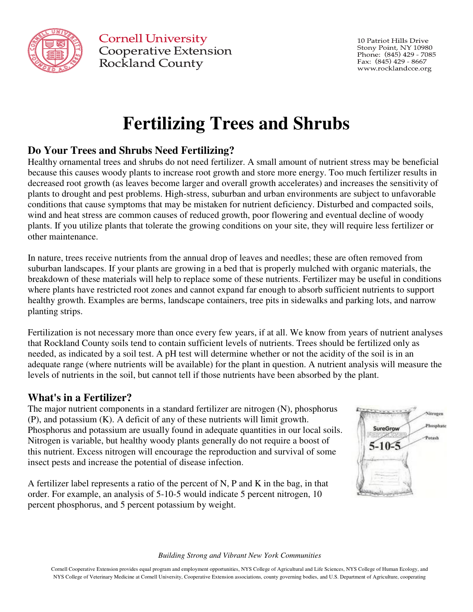

**Cornell University Cooperative Extension** Rockland County

10 Patriot Hills Drive Stony Point, NY 10980 Phone: (845) 429 - 7085 Fax: (845) 429 - 8667 www.rocklandcce.org

# **Fertilizing Trees and Shrubs**

## **Do Your Trees and Shrubs Need Fertilizing?**

Healthy ornamental trees and shrubs do not need fertilizer. A small amount of nutrient stress may be beneficial because this causes woody plants to increase root growth and store more energy. Too much fertilizer results in decreased root growth (as leaves become larger and overall growth accelerates) and increases the sensitivity of plants to drought and pest problems. High-stress, suburban and urban environments are subject to unfavorable conditions that cause symptoms that may be mistaken for nutrient deficiency. Disturbed and compacted soils, wind and heat stress are common causes of reduced growth, poor flowering and eventual decline of woody plants. If you utilize plants that tolerate the growing conditions on your site, they will require less fertilizer or other maintenance.

In nature, trees receive nutrients from the annual drop of leaves and needles; these are often removed from suburban landscapes. If your plants are growing in a bed that is properly mulched with organic materials, the breakdown of these materials will help to replace some of these nutrients. Fertilizer may be useful in conditions where plants have restricted root zones and cannot expand far enough to absorb sufficient nutrients to support healthy growth. Examples are berms, landscape containers, tree pits in sidewalks and parking lots, and narrow planting strips.

Fertilization is not necessary more than once every few years, if at all. We know from years of nutrient analyses that Rockland County soils tend to contain sufficient levels of nutrients. Trees should be fertilized only as needed, as indicated by a soil test. A pH test will determine whether or not the acidity of the soil is in an adequate range (where nutrients will be available) for the plant in question. A nutrient analysis will measure the levels of nutrients in the soil, but cannot tell if those nutrients have been absorbed by the plant.

### **What's in a Fertilizer?**

The major nutrient components in a standard fertilizer are nitrogen (N), phosphorus (P), and potassium (K). A deficit of any of these nutrients will limit growth. Phosphorus and potassium are usually found in adequate quantities in our local soils. Nitrogen is variable, but healthy woody plants generally do not require a boost of this nutrient. Excess nitrogen will encourage the reproduction and survival of some insect pests and increase the potential of disease infection.

A fertilizer label represents a ratio of the percent of N, P and K in the bag, in that order. For example, an analysis of 5-10-5 would indicate 5 percent nitrogen, 10 percent phosphorus, and 5 percent potassium by weight.



#### *Building Strong and Vibrant New York Communities*

Cornell Cooperative Extension provides equal program and employment opportunities, NYS College of Agricultural and Life Sciences, NYS College of Human Ecology, and NYS College of Veterinary Medicine at Cornell University, Cooperative Extension associations, county governing bodies, and U.S. Department of Agriculture, cooperating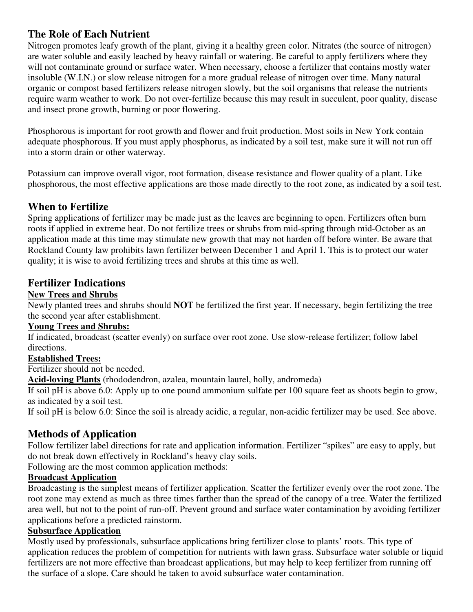## **The Role of Each Nutrient**

Nitrogen promotes leafy growth of the plant, giving it a healthy green color. Nitrates (the source of nitrogen) are water soluble and easily leached by heavy rainfall or watering. Be careful to apply fertilizers where they will not contaminate ground or surface water. When necessary, choose a fertilizer that contains mostly water insoluble (W.I.N.) or slow release nitrogen for a more gradual release of nitrogen over time. Many natural organic or compost based fertilizers release nitrogen slowly, but the soil organisms that release the nutrients require warm weather to work. Do not over-fertilize because this may result in succulent, poor quality, disease and insect prone growth, burning or poor flowering.

Phosphorous is important for root growth and flower and fruit production. Most soils in New York contain adequate phosphorous. If you must apply phosphorus, as indicated by a soil test, make sure it will not run off into a storm drain or other waterway.

Potassium can improve overall vigor, root formation, disease resistance and flower quality of a plant. Like phosphorous, the most effective applications are those made directly to the root zone, as indicated by a soil test.

## **When to Fertilize**

Spring applications of fertilizer may be made just as the leaves are beginning to open. Fertilizers often burn roots if applied in extreme heat. Do not fertilize trees or shrubs from mid-spring through mid-October as an application made at this time may stimulate new growth that may not harden off before winter. Be aware that Rockland County law prohibits lawn fertilizer between December 1 and April 1. This is to protect our water quality; it is wise to avoid fertilizing trees and shrubs at this time as well.

## **Fertilizer Indications**

#### **New Trees and Shrubs**

Newly planted trees and shrubs should **NOT** be fertilized the first year. If necessary, begin fertilizing the tree the second year after establishment.

#### **Young Trees and Shrubs:**

If indicated, broadcast (scatter evenly) on surface over root zone. Use slow-release fertilizer; follow label directions.

#### **Established Trees:**

Fertilizer should not be needed.

**Acid-loving Plants** (rhododendron, azalea, mountain laurel, holly, andromeda)

If soil pH is above 6.0: Apply up to one pound ammonium sulfate per 100 square feet as shoots begin to grow, as indicated by a soil test.

If soil pH is below 6.0: Since the soil is already acidic, a regular, non-acidic fertilizer may be used. See above.

## **Methods of Application**

Follow fertilizer label directions for rate and application information. Fertilizer "spikes" are easy to apply, but do not break down effectively in Rockland's heavy clay soils.

Following are the most common application methods:

## **Broadcast Application**

Broadcasting is the simplest means of fertilizer application. Scatter the fertilizer evenly over the root zone. The root zone may extend as much as three times farther than the spread of the canopy of a tree. Water the fertilized area well, but not to the point of run-off. Prevent ground and surface water contamination by avoiding fertilizer applications before a predicted rainstorm.

#### **Subsurface Application**

Mostly used by professionals, subsurface applications bring fertilizer close to plants' roots. This type of application reduces the problem of competition for nutrients with lawn grass. Subsurface water soluble or liquid fertilizers are not more effective than broadcast applications, but may help to keep fertilizer from running off the surface of a slope. Care should be taken to avoid subsurface water contamination.